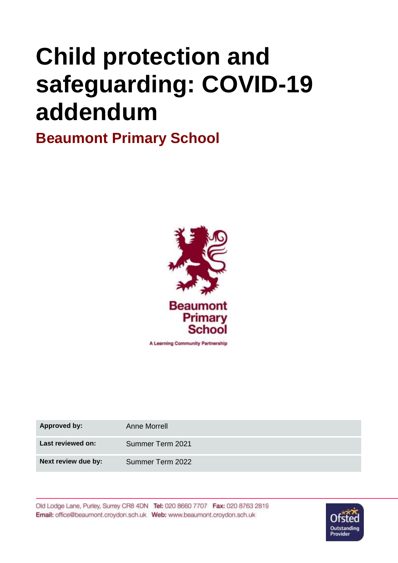# **Child protection and safeguarding: COVID-19 addendum**

**Beaumont Primary School**



A Learning Community Partnership

| <b>Approved by:</b> | Anne Morrell     |
|---------------------|------------------|
| Last reviewed on:   | Summer Term 2021 |
| Next review due by: | Summer Term 2022 |

Old Lodge Lane, Purley, Surrey CR8 4DN Tel: 020 8660 7707 Fax: 020 8763 2819 Email: office@beaumont.croydon.sch.uk Web: www.beaumont.croydon.sch.uk

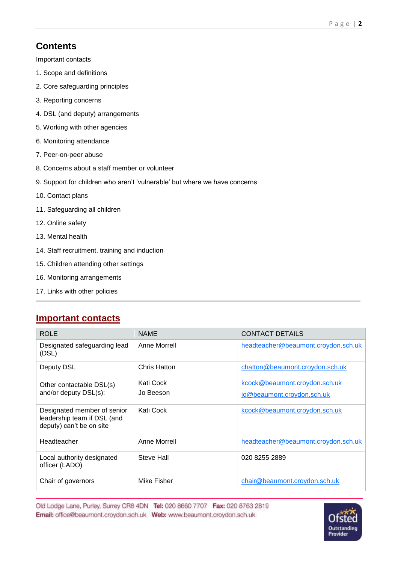# **Contents**

Important contacts

- 1. Scope and definitions
- 2. Core safeguarding principles
- 3. Reporting concerns
- 4. DSL (and deputy) arrangements
- 5. Working with other agencies
- 6. Monitoring attendance
- 7. Peer-on-peer abuse
- 8. Concerns about a staff member or volunteer
- 9. Support for children who aren't 'vulnerable' but where we have concerns
- 10. Contact plans
- 11. Safeguarding all children
- 12. Online safety
- 13. Mental health
- 14. Staff recruitment, training and induction
- 15. Children attending other settings
- 16. Monitoring arrangements
- 17. Links with other policies

#### **Important contacts**

| <b>ROLE</b>                                                                            | <b>NAME</b>            | <b>CONTACT DETAILS</b>                                      |
|----------------------------------------------------------------------------------------|------------------------|-------------------------------------------------------------|
| Designated safeguarding lead<br>(DSL)                                                  | Anne Morrell           | headteacher@beaumont.croydon.sch.uk                         |
| Deputy DSL                                                                             | Chris Hatton           | chatton@beaumont.croydon.sch.uk                             |
| Other contactable DSL(s)<br>and/or deputy DSL(s):                                      | Kati Cock<br>Jo Beeson | kcock@beaumont.croydon.sch.uk<br>jo@beaumont.croydon.sch.uk |
| Designated member of senior<br>leadership team if DSL (and<br>deputy) can't be on site | Kati Cock              | kcock@beaumont.croydon.sch.uk                               |
| Headteacher                                                                            | Anne Morrell           | headteacher@beaumont.croydon.sch.uk                         |
| Local authority designated<br>officer (LADO)                                           | Steve Hall             | 020 8255 2889                                               |
| Chair of governors                                                                     | Mike Fisher            | chair@beaumont.croydon.sch.uk                               |

Old Lodge Lane, Purley, Surrey CR8 4DN Tel: 020 8660 7707 Fax: 020 8763 2819 Email: office@beaumont.croydon.sch.uk Web: www.beaumont.croydon.sch.uk

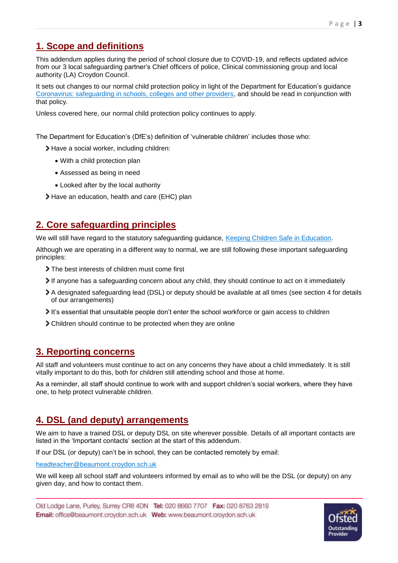# **1. Scope and definitions**

This addendum applies during the period of school closure due to COVID-19, and reflects updated advice from our 3 local safeguarding partner's Chief officers of police, Clinical commissioning group and local authority (LA) Croydon Council.

It sets out changes to our normal child protection policy in light of the Department for Education's guidance [Coronavirus: safeguarding in schools, colleges and other providers,](https://www.gov.uk/government/publications/covid-19-safeguarding-in-schools-colleges-and-other-providers) and should be read in conjunction with that policy.

Unless covered here, our normal child protection policy continues to apply.

The Department for Education's (DfE's) definition of 'vulnerable children' includes those who:

- Have a social worker, including children:
	- With a child protection plan
	- Assessed as being in need
	- Looked after by the local authority
- Have an education, health and care (EHC) plan

# **2. Core safeguarding principles**

We will still have regard to the statutory safeguarding guidance, [Keeping Children Safe in Education.](https://www.gov.uk/government/publications/keeping-children-safe-in-education--2)

Although we are operating in a different way to normal, we are still following these important safeguarding principles:

- The best interests of children must come first
- If anyone has a safeguarding concern about any child, they should continue to act on it immediately
- A designated safeguarding lead (DSL) or deputy should be available at all times (see section 4 for details of our arrangements)
- It's essential that unsuitable people don't enter the school workforce or gain access to children
- Children should continue to be protected when they are online

## **3. Reporting concerns**

All staff and volunteers must continue to act on any concerns they have about a child immediately. It is still vitally important to do this, both for children still attending school and those at home.

As a reminder, all staff should continue to work with and support children's social workers, where they have one, to help protect vulnerable children.

## **4. DSL (and deputy) arrangements**

We aim to have a trained DSL or deputy DSL on site wherever possible. Details of all important contacts are listed in the 'Important contacts' section at the start of this addendum.

If our DSL (or deputy) can't be in school, they can be contacted remotely by email:

[headteacher@beaumont.croydon.sch.uk](mailto:headteacher@beaumont.croydon.sch.uk)

We will keep all school staff and volunteers informed by email as to who will be the DSL (or deputy) on any given day, and how to contact them.

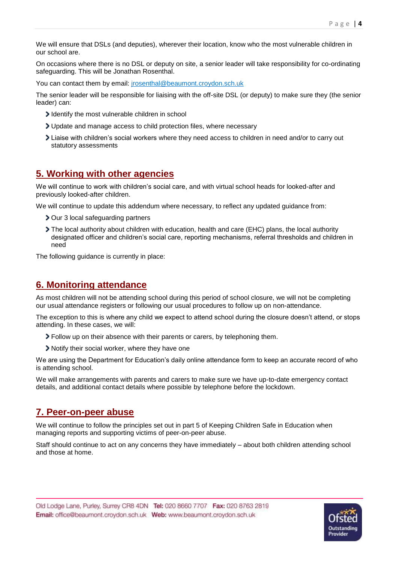We will ensure that DSLs (and deputies), wherever their location, know who the most vulnerable children in our school are.

On occasions where there is no DSL or deputy on site, a senior leader will take responsibility for co-ordinating safeguarding. This will be Jonathan Rosenthal.

You can contact them by email: *jrosenthal@beaumont.croydon.sch.uk* 

The senior leader will be responsible for liaising with the off-site DSL (or deputy) to make sure they (the senior leader) can:

- I dentify the most vulnerable children in school
- Update and manage access to child protection files, where necessary
- Liaise with children's social workers where they need access to children in need and/or to carry out statutory assessments

#### **5. Working with other agencies**

We will continue to work with children's social care, and with virtual school heads for looked-after and previously looked-after children.

We will continue to update this addendum where necessary, to reflect any updated guidance from:

- > Our 3 local safeguarding partners
- The local authority about children with education, health and care (EHC) plans, the local authority designated officer and children's social care, reporting mechanisms, referral thresholds and children in need

The following guidance is currently in place:

#### **6. Monitoring attendance**

As most children will not be attending school during this period of school closure, we will not be completing our usual attendance registers or following our usual procedures to follow up on non-attendance.

The exception to this is where any child we expect to attend school during the closure doesn't attend, or stops attending. In these cases, we will:

- Follow up on their absence with their parents or carers, by telephoning them.
- Notify their social worker, where they have one

We are using the Department for Education's daily online attendance form to keep an accurate record of who is attending school.

We will make arrangements with parents and carers to make sure we have up-to-date emergency contact details, and additional contact details where possible by telephone before the lockdown.

## **7. Peer-on-peer abuse**

We will continue to follow the principles set out in part 5 of Keeping Children Safe in Education when managing reports and supporting victims of peer-on-peer abuse.

Staff should continue to act on any concerns they have immediately – about both children attending school and those at home.

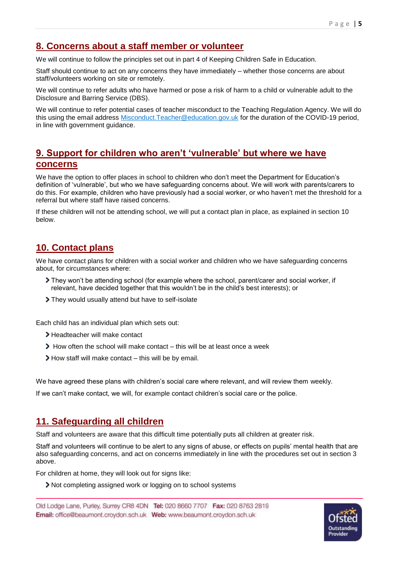## **8. Concerns about a staff member or volunteer**

We will continue to follow the principles set out in part 4 of Keeping Children Safe in Education.

Staff should continue to act on any concerns they have immediately – whether those concerns are about staff/volunteers working on site or remotely.

We will continue to refer adults who have harmed or pose a risk of harm to a child or vulnerable adult to the Disclosure and Barring Service (DBS).

We will continue to refer potential cases of teacher misconduct to the Teaching Regulation Agency. We will do this using the email address [Misconduct.Teacher@education.gov.uk](mailto:Misconduct.Teacher@education.gov.uk) for the duration of the COVID-19 period, in line with government guidance.

#### **9. Support for children who aren't 'vulnerable' but where we have concerns**

We have the option to offer places in school to children who don't meet the Department for Education's definition of 'vulnerable', but who we have safeguarding concerns about. We will work with parents/carers to do this. For example, children who have previously had a social worker, or who haven't met the threshold for a referral but where staff have raised concerns.

If these children will not be attending school, we will put a contact plan in place, as explained in section 10 below.

# **10. Contact plans**

We have contact plans for children with a social worker and children who we have safeguarding concerns about, for circumstances where:

- They won't be attending school (for example where the school, parent/carer and social worker, if relevant, have decided together that this wouldn't be in the child's best interests); or
- They would usually attend but have to self-isolate

Each child has an individual plan which sets out:

- Headteacher will make contact
- How often the school will make contact this will be at least once a week
- How staff will make contact this will be by email.

We have agreed these plans with children's social care where relevant, and will review them weekly.

If we can't make contact, we will, for example contact children's social care or the police.

## **11. Safeguarding all children**

Staff and volunteers are aware that this difficult time potentially puts all children at greater risk.

Staff and volunteers will continue to be alert to any signs of abuse, or effects on pupils' mental health that are also safeguarding concerns, and act on concerns immediately in line with the procedures set out in section 3 above.

For children at home, they will look out for signs like:

Not completing assigned work or logging on to school systems

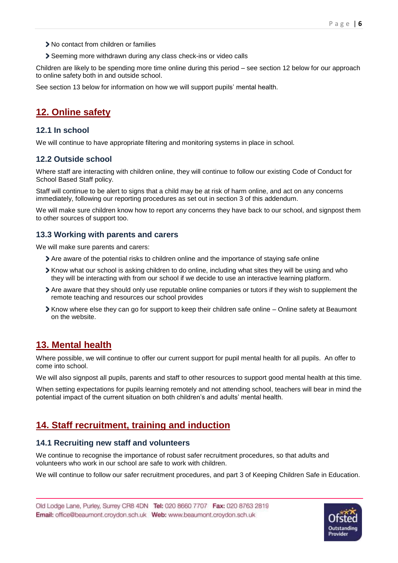- > No contact from children or families
- Seeming more withdrawn during any class check-ins or video calls

Children are likely to be spending more time online during this period – see section 12 below for our approach to online safety both in and outside school.

See section 13 below for information on how we will support pupils' mental health.

## **12. Online safety**

#### **12.1 In school**

We will continue to have appropriate filtering and monitoring systems in place in school.

#### **12.2 Outside school**

Where staff are interacting with children online, they will continue to follow our existing Code of Conduct for School Based Staff policy.

Staff will continue to be alert to signs that a child may be at risk of harm online, and act on any concerns immediately, following our reporting procedures as set out in section 3 of this addendum.

We will make sure children know how to report any concerns they have back to our school, and signpost them to other sources of support too.

#### **13.3 Working with parents and carers**

We will make sure parents and carers:

- Are aware of the potential risks to children online and the importance of staying safe online
- Know what our school is asking children to do online, including what sites they will be using and who they will be interacting with from our school if we decide to use an interactive learning platform.
- Are aware that they should only use reputable online companies or tutors if they wish to supplement the remote teaching and resources our school provides
- Know where else they can go for support to keep their children safe online Online safety at Beaumont on the website.

## **13. Mental health**

Where possible, we will continue to offer our current support for pupil mental health for all pupils. An offer to come into school.

We will also signpost all pupils, parents and staff to other resources to support good mental health at this time.

When setting expectations for pupils learning remotely and not attending school, teachers will bear in mind the potential impact of the current situation on both children's and adults' mental health.

# **14. Staff recruitment, training and induction**

#### **14.1 Recruiting new staff and volunteers**

We continue to recognise the importance of robust safer recruitment procedures, so that adults and volunteers who work in our school are safe to work with children.

We will continue to follow our safer recruitment procedures, and part 3 of Keeping Children Safe in Education.

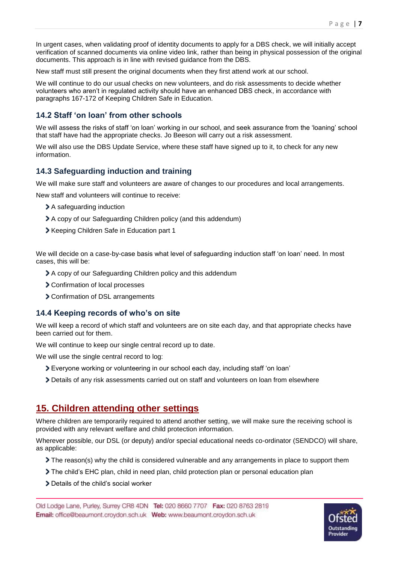In urgent cases, when validating proof of identity documents to apply for a DBS check, we will initially accept verification of scanned documents via online video link, rather than being in physical possession of the original documents. This approach is in line with revised guidance from the DBS.

New staff must still present the original documents when they first attend work at our school.

We will continue to do our usual checks on new volunteers, and do risk assessments to decide whether volunteers who aren't in regulated activity should have an enhanced DBS check, in accordance with paragraphs 167-172 of Keeping Children Safe in Education.

#### **14.2 Staff 'on loan' from other schools**

We will assess the risks of staff 'on loan' working in our school, and seek assurance from the 'loaning' school that staff have had the appropriate checks. Jo Beeson will carry out a risk assessment.

We will also use the DBS Update Service, where these staff have signed up to it, to check for any new information.

#### **14.3 Safeguarding induction and training**

We will make sure staff and volunteers are aware of changes to our procedures and local arrangements.

New staff and volunteers will continue to receive:

- > A safeguarding induction
- A copy of our Safeguarding Children policy (and this addendum)
- Keeping Children Safe in Education part 1

We will decide on a case-by-case basis what level of safeguarding induction staff 'on loan' need. In most cases, this will be:

- A copy of our Safeguarding Children policy and this addendum
- Confirmation of local processes
- Confirmation of DSL arrangements

#### **14.4 Keeping records of who's on site**

We will keep a record of which staff and volunteers are on site each day, and that appropriate checks have been carried out for them.

We will continue to keep our single central record up to date.

We will use the single central record to log:

- Everyone working or volunteering in our school each day, including staff 'on loan'
- Details of any risk assessments carried out on staff and volunteers on loan from elsewhere

#### **15. Children attending other settings**

Where children are temporarily required to attend another setting, we will make sure the receiving school is provided with any relevant welfare and child protection information.

Wherever possible, our DSL (or deputy) and/or special educational needs co-ordinator (SENDCO) will share, as applicable:

- The reason(s) why the child is considered vulnerable and any arrangements in place to support them
- The child's EHC plan, child in need plan, child protection plan or personal education plan
- > Details of the child's social worker